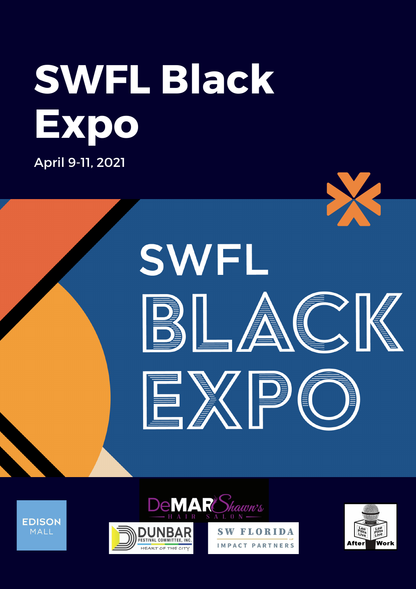# **SWFL Black Expo**

April 9-11, 2021

**EDISON** 

MALL









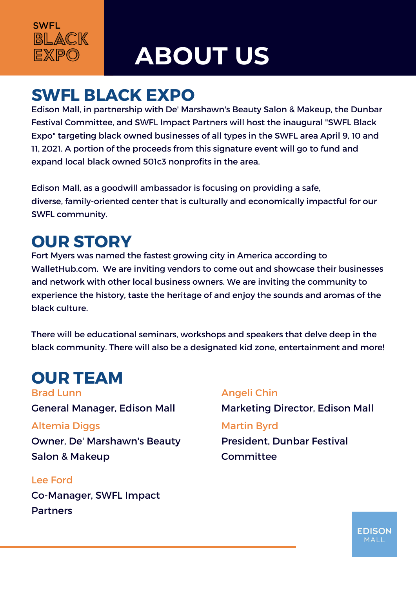

## **ABOUT US**

### **SWFL BLACK EXPO**

Edison Mall, in partnership with De' Marshawn's Beauty Salon & Makeup, the Dunbar Festival Committee, and SWFL Impact Partners will host the inaugural "SWFL Black Expo" targeting black owned businesses of all types in the SWFL area April 9, 10 and 11, 2021. A portion of the proceeds from this signature event will go to fund and expand local black owned 501c3 nonprofits in the area.

Edison Mall, as a goodwill ambassador is focusing on providing a safe, diverse, family-oriented center that is culturally and economically impactful for our SWFL community.

### **OUR STORY**

Fort Myers was named the fastest growing city in America according to WalletHub.com. We are inviting vendors to come out and showcase their businesses and network with other local business owners. We are inviting the community to experience the history, taste the heritage of and enjoy the sounds and aromas of the black culture.

There will be educational seminars, workshops and speakers that delve deep in the black community. There will also be a designated kid zone, entertainment and more!

### **OUR TEAM**

Altemia Diggs Brad Lunn General Manager, Edison Mall

Owner, De' Marshawn's Beauty Salon & Makeup

### Lee Ford

Co-Manager, SWFL Impact Partners

### Angeli Chin

Marketing Director, Edison Mall Martin Byrd President, Dunbar Festival **Committee** 

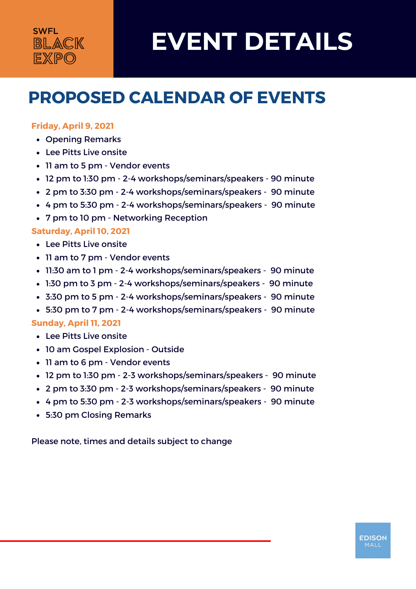### **SWFL** BLACK **EXPO**

# **EVENT DETAILS**

**EDISON** MALL

### **PROPOSED CALENDAR OF EVENTS**

### **Friday, April 9, 2021**

- Opening Remarks
- Lee Pitts Live onsite
- 11 am to 5 pm Vendor events
- 12 pm to 1:30 pm 2-4 workshops/seminars/speakers 90 minute
- 2 pm to 3:30 pm 2-4 workshops/seminars/speakers 90 minute
- 4 pm to 5:30 pm 2-4 workshops/seminars/speakers 90 minute
- 7 pm to 10 pm Networking Reception

#### **Saturday, April 10, 2021**

- Lee Pitts Live onsite
- 11 am to 7 pm Vendor events
- 11:30 am to 1 pm 2-4 workshops/seminars/speakers 90 minute
- 1:30 pm to 3 pm 2-4 workshops/seminars/speakers 90 minute
- 3:30 pm to 5 pm 2-4 workshops/seminars/speakers 90 minute
- 5:30 pm to 7 pm 2-4 workshops/seminars/speakers 90 minute

#### **Sunday, April 11, 2021**

- Lee Pitts Live onsite
- 10 am Gospel Explosion Outside
- 11 am to 6 pm Vendor events
- 12 pm to 1:30 pm 2-3 workshops/seminars/speakers 90 minute
- 2 pm to 3:30 pm 2-3 workshops/seminars/speakers 90 minute
- 4 pm to 5:30 pm 2-3 workshops/seminars/speakers 90 minute
- 5:30 pm Closing Remarks

Please note, times and details subject to change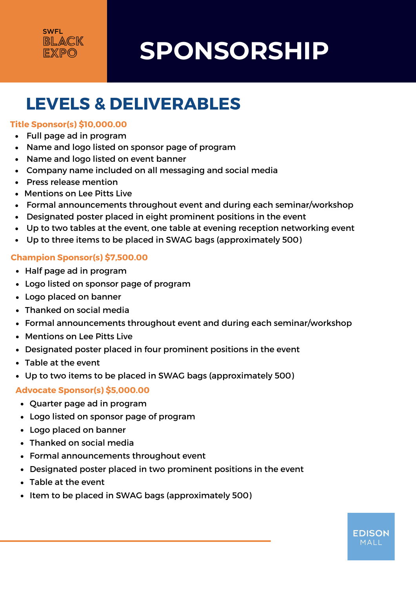

# **SPONSORSHIP**

### **LEVELS & DELIVERABLES**

### **Title Sponsor(s) \$10,000.00**

- Full page ad in program
- Name and logo listed on sponsor page of program
- Name and logo listed on event banner
- Company name included on all messaging and social media
- Press release mention
- Mentions on Lee Pitts Live
- Formal announcements throughout event and during each seminar/workshop
- Designated poster placed in eight prominent positions in the event
- Up to two tables at the event, one table at evening reception networking event
- Up to three items to be placed in SWAG bags (approximately 500)

### **Champion Sponsor(s) \$7,500.00**

- Half page ad in program
- Logo listed on sponsor page of program
- Logo placed on banner
- Thanked on social media
- Formal announcements throughout event and during each seminar/workshop
- Mentions on Lee Pitts Live
- Designated poster placed in four prominent positions in the event
- Table at the event
- Up to two items to be placed in SWAG bags (approximately 500)

### **Advocate Sponsor(s) \$5,000.00**

- Quarter page ad in program
- Logo listed on sponsor page of program
- Logo placed on banner
- Thanked on social media
- Formal announcements throughout event
- Designated poster placed in two prominent positions in the event
- Table at the event
- Item to be placed in SWAG bags (approximately 500)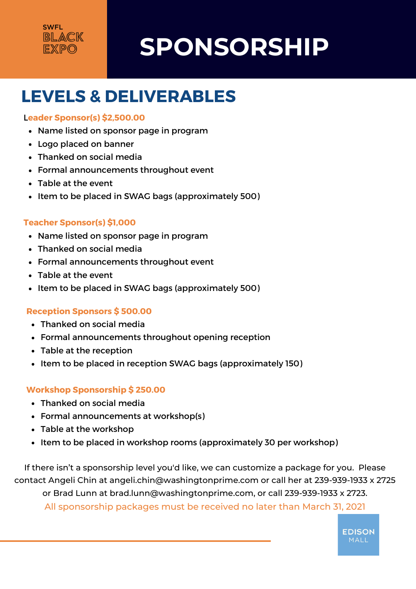# **SPONSORSHIP**

### **LEVELS & DELIVERABLES**

#### L**eader Sponsor(s) \$2,500.00**

- Name listed on sponsor page in program
- Logo placed on banner
- Thanked on social media
- Formal announcements throughout event
- Table at the event
- Item to be placed in SWAG bags (approximately 500)

### **Teacher Sponsor(s) \$1,000**

- Name listed on sponsor page in program
- Thanked on social media
- Formal announcements throughout event
- Table at the event
- Item to be placed in SWAG bags (approximately 500)

### **Reception Sponsors \$ 500.00**

- Thanked on social media
- Formal announcements throughout opening reception
- Table at the reception
- Item to be placed in reception SWAG bags (approximately 150)

### **Workshop Sponsorship \$ 250.00**

- Thanked on social media
- Formal announcements at workshop(s)
- Table at the workshop
- Item to be placed in workshop rooms (approximately 30 per workshop)

If there isn't a sponsorship level you'd like, we can customize a package for you. Please contact Angeli Chin at angeli.chin@washingtonprime.com or call her at 239-939-1933 x 2725 or Brad Lunn at brad.lunn@washingtonprime.com, or call 239-939-1933 x 2723.

All sponsorship packages must be received no later than March 31, 2021